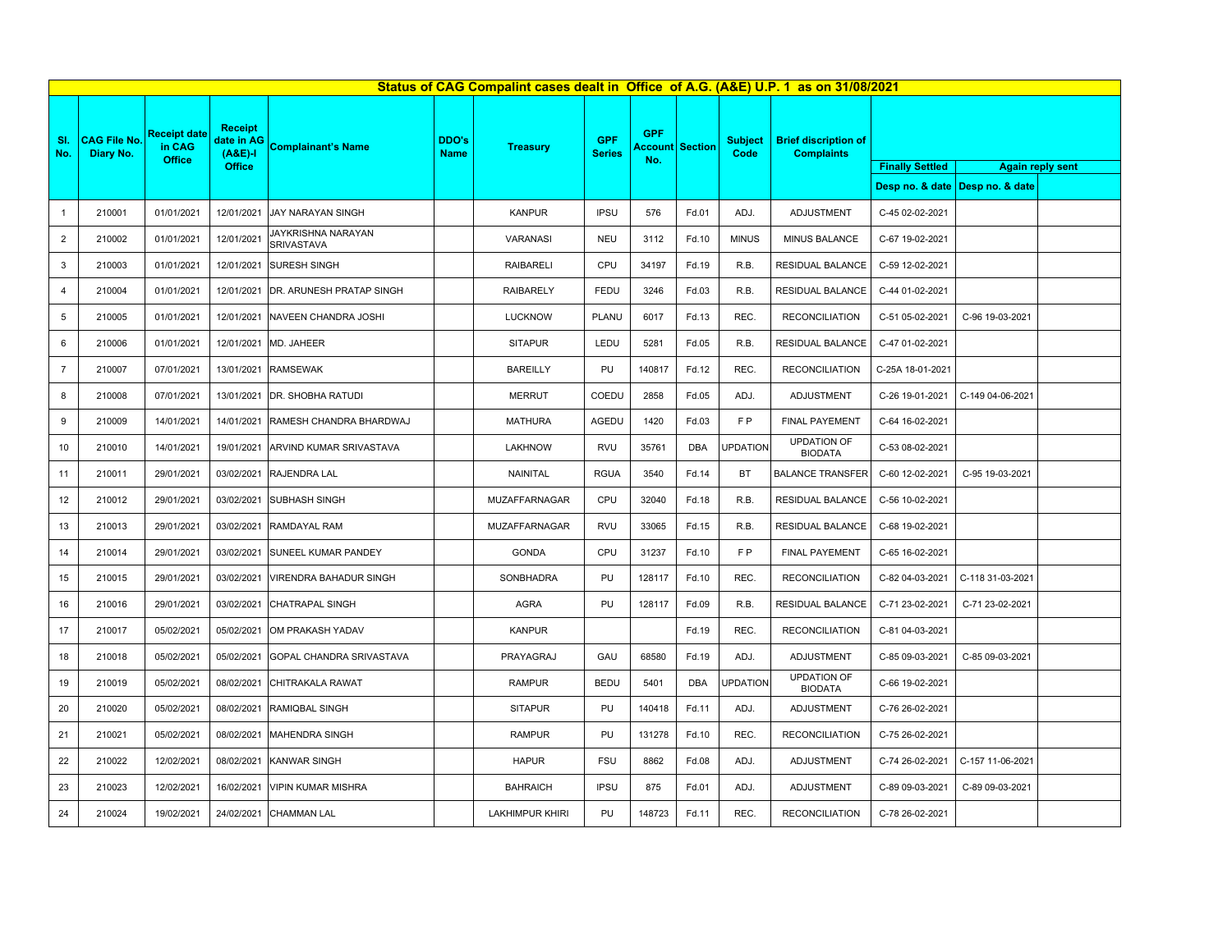|                | Status of CAG Compalint cases dealt in Office of A.G. (A&E) U.P. 1 as on 31/08/2021 |                               |                                           |                                     |                      |                        |                             |                       |                |                        |                                                  |                        |                                 |                         |
|----------------|-------------------------------------------------------------------------------------|-------------------------------|-------------------------------------------|-------------------------------------|----------------------|------------------------|-----------------------------|-----------------------|----------------|------------------------|--------------------------------------------------|------------------------|---------------------------------|-------------------------|
| SI.<br>No.     | <b>CAG File No.</b><br>Diary No.                                                    | <b>Receipt date</b><br>in CAG | <b>Receipt</b><br>date in AG<br>$(A&E)-I$ | <b>Complainant's Name</b>           | DDO's<br><b>Name</b> | <b>Treasury</b>        | <b>GPF</b><br><b>Series</b> | <b>GPF</b><br>Account | <b>Section</b> | <b>Subject</b><br>Code | <b>Brief discription of</b><br><b>Complaints</b> |                        |                                 |                         |
|                |                                                                                     | Office                        | Office                                    |                                     |                      |                        |                             | No.                   |                |                        |                                                  | <b>Finally Settled</b> |                                 | <b>Again reply sent</b> |
|                |                                                                                     |                               |                                           |                                     |                      |                        |                             |                       |                |                        |                                                  |                        | Desp no. & date Desp no. & date |                         |
| $\mathbf{1}$   | 210001                                                                              | 01/01/2021                    | 12/01/2021                                | <b>JAY NARAYAN SINGH</b>            |                      | <b>KANPUR</b>          | <b>IPSU</b>                 | 576                   | Fd.01          | ADJ.                   | ADJUSTMENT                                       | C-45 02-02-2021        |                                 |                         |
| $\overline{2}$ | 210002                                                                              | 01/01/2021                    | 12/01/2021                                | JAYKRISHNA NARAYAN<br>SRIVASTAVA    |                      | VARANASI               | <b>NEU</b>                  | 3112                  | Fd.10          | <b>MINUS</b>           | MINUS BALANCE                                    | C-67 19-02-2021        |                                 |                         |
| $\mathbf{3}$   | 210003                                                                              | 01/01/2021                    | 12/01/2021                                | <b>SURESH SINGH</b>                 |                      | <b>RAIBARELI</b>       | CPU                         | 34197                 | Fd.19          | R.B.                   | RESIDUAL BALANCE                                 | C-59 12-02-2021        |                                 |                         |
| $\overline{4}$ | 210004                                                                              | 01/01/2021                    |                                           | 12/01/2021 DR. ARUNESH PRATAP SINGH |                      | <b>RAIBARELY</b>       | FEDU                        | 3246                  | Fd.03          | R.B.                   | RESIDUAL BALANCE                                 | C-44 01-02-2021        |                                 |                         |
| 5              | 210005                                                                              | 01/01/2021                    |                                           | 12/01/2021 NAVEEN CHANDRA JOSHI     |                      | <b>LUCKNOW</b>         | PLANU                       | 6017                  | Fd.13          | REC.                   | <b>RECONCILIATION</b>                            | C-51 05-02-2021        | C-96 19-03-2021                 |                         |
| 6              | 210006                                                                              | 01/01/2021                    |                                           | 12/01/2021 MD. JAHEER               |                      | <b>SITAPUR</b>         | LEDU                        | 5281                  | Fd.05          | R.B.                   | RESIDUAL BALANCE                                 | C-47 01-02-2021        |                                 |                         |
| $\overline{7}$ | 210007                                                                              | 07/01/2021                    | 13/01/2021                                | <b>RAMSEWAK</b>                     |                      | <b>BAREILLY</b>        | PU                          | 140817                | Fd.12          | REC.                   | <b>RECONCILIATION</b>                            | C-25A 18-01-2021       |                                 |                         |
| 8              | 210008                                                                              | 07/01/2021                    |                                           | 13/01/2021 DR. SHOBHA RATUDI        |                      | <b>MERRUT</b>          | COEDU                       | 2858                  | Fd.05          | ADJ.                   | ADJUSTMENT                                       | C-26 19-01-2021        | C-149 04-06-2021                |                         |
| 9              | 210009                                                                              | 14/01/2021                    | 14/01/2021                                | RAMESH CHANDRA BHARDWAJ             |                      | <b>MATHURA</b>         | AGEDU                       | 1420                  | Fd.03          | F <sub>P</sub>         | FINAL PAYEMENT                                   | C-64 16-02-2021        |                                 |                         |
| 10             | 210010                                                                              | 14/01/2021                    |                                           | 19/01/2021 ARVIND KUMAR SRIVASTAVA  |                      | LAKHNOW                | RVU                         | 35761                 | DBA            | <b>UPDATION</b>        | <b>UPDATION OF</b><br><b>BIODATA</b>             | C-53 08-02-2021        |                                 |                         |
| 11             | 210011                                                                              | 29/01/2021                    |                                           | 03/02/2021 RAJENDRA LAL             |                      | NAINITAL               | <b>RGUA</b>                 | 3540                  | Fd.14          | BT                     | <b>BALANCE TRANSFER</b>                          | C-60 12-02-2021        | C-95 19-03-2021                 |                         |
| 12             | 210012                                                                              | 29/01/2021                    | 03/02/2021                                | <b>SUBHASH SINGH</b>                |                      | MUZAFFARNAGAR          | CPU                         | 32040                 | Fd.18          | R.B.                   | RESIDUAL BALANCE                                 | C-56 10-02-2021        |                                 |                         |
| 13             | 210013                                                                              | 29/01/2021                    | 03/02/2021                                | RAMDAYAL RAM                        |                      | MUZAFFARNAGAR          | <b>RVU</b>                  | 33065                 | Fd.15          | R.B.                   | RESIDUAL BALANCE                                 | C-68 19-02-2021        |                                 |                         |
| 14             | 210014                                                                              | 29/01/2021                    | 03/02/2021                                | SUNEEL KUMAR PANDEY                 |                      | <b>GONDA</b>           | CPU                         | 31237                 | Fd.10          | FP.                    | FINAL PAYEMENT                                   | C-65 16-02-2021        |                                 |                         |
| 15             | 210015                                                                              | 29/01/2021                    | 03/02/2021                                | VIRENDRA BAHADUR SINGH              |                      | SONBHADRA              | PU                          | 128117                | Fd.10          | REC.                   | <b>RECONCILIATION</b>                            | C-82 04-03-2021        | C-118 31-03-2021                |                         |
| 16             | 210016                                                                              | 29/01/2021                    | 03/02/2021                                | <b>CHATRAPAL SINGH</b>              |                      | <b>AGRA</b>            | PU                          | 128117                | Fd.09          | R.B.                   | RESIDUAL BALANCE                                 | C-71 23-02-2021        | C-71 23-02-2021                 |                         |
| 17             | 210017                                                                              | 05/02/2021                    | 05/02/2021                                | OM PRAKASH YADAV                    |                      | <b>KANPUR</b>          |                             |                       | Fd.19          | REC.                   | <b>RECONCILIATION</b>                            | C-81 04-03-2021        |                                 |                         |
| 18             | 210018                                                                              | 05/02/2021                    | 05/02/2021                                | GOPAL CHANDRA SRIVASTAVA            |                      | PRAYAGRAJ              | GAU                         | 68580                 | Fd.19          | ADJ.                   | ADJUSTMENT                                       | C-85 09-03-2021        | C-85 09-03-2021                 |                         |
| 19             | 210019                                                                              | 05/02/2021                    | 08/02/2021                                | CHITRAKALA RAWAT                    |                      | <b>RAMPUR</b>          | <b>BEDU</b>                 | 5401                  | <b>DBA</b>     | <b>UPDATION</b>        | <b>UPDATION OF</b><br><b>BIODATA</b>             | C-66 19-02-2021        |                                 |                         |
| 20             | 210020                                                                              | 05/02/2021                    | 08/02/2021                                | RAMIQBAL SINGH                      |                      | <b>SITAPUR</b>         | PU                          | 140418                | Fd.11          | ADJ.                   | ADJUSTMENT                                       | C-76 26-02-2021        |                                 |                         |
| 21             | 210021                                                                              | 05/02/2021                    | 08/02/2021                                | <b>MAHENDRA SINGH</b>               |                      | <b>RAMPUR</b>          | PU                          | 131278                | Fd.10          | REC.                   | <b>RECONCILIATION</b>                            | C-75 26-02-2021        |                                 |                         |
| 22             | 210022                                                                              | 12/02/2021                    | 08/02/2021                                | <b>KANWAR SINGH</b>                 |                      | <b>HAPUR</b>           | <b>FSU</b>                  | 8862                  | Fd.08          | ADJ.                   | ADJUSTMENT                                       | C-74 26-02-2021        | C-157 11-06-2021                |                         |
| 23             | 210023                                                                              | 12/02/2021                    | 16/02/2021                                | <b>VIPIN KUMAR MISHRA</b>           |                      | <b>BAHRAICH</b>        | <b>IPSU</b>                 | 875                   | Fd.01          | ADJ.                   | <b>ADJUSTMENT</b>                                | C-89 09-03-2021        | C-89 09-03-2021                 |                         |
| 24             | 210024                                                                              | 19/02/2021                    | 24/02/2021                                | <b>CHAMMAN LAL</b>                  |                      | <b>LAKHIMPUR KHIRI</b> | PU                          | 148723                | Fd.11          | REC.                   | <b>RECONCILIATION</b>                            | C-78 26-02-2021        |                                 |                         |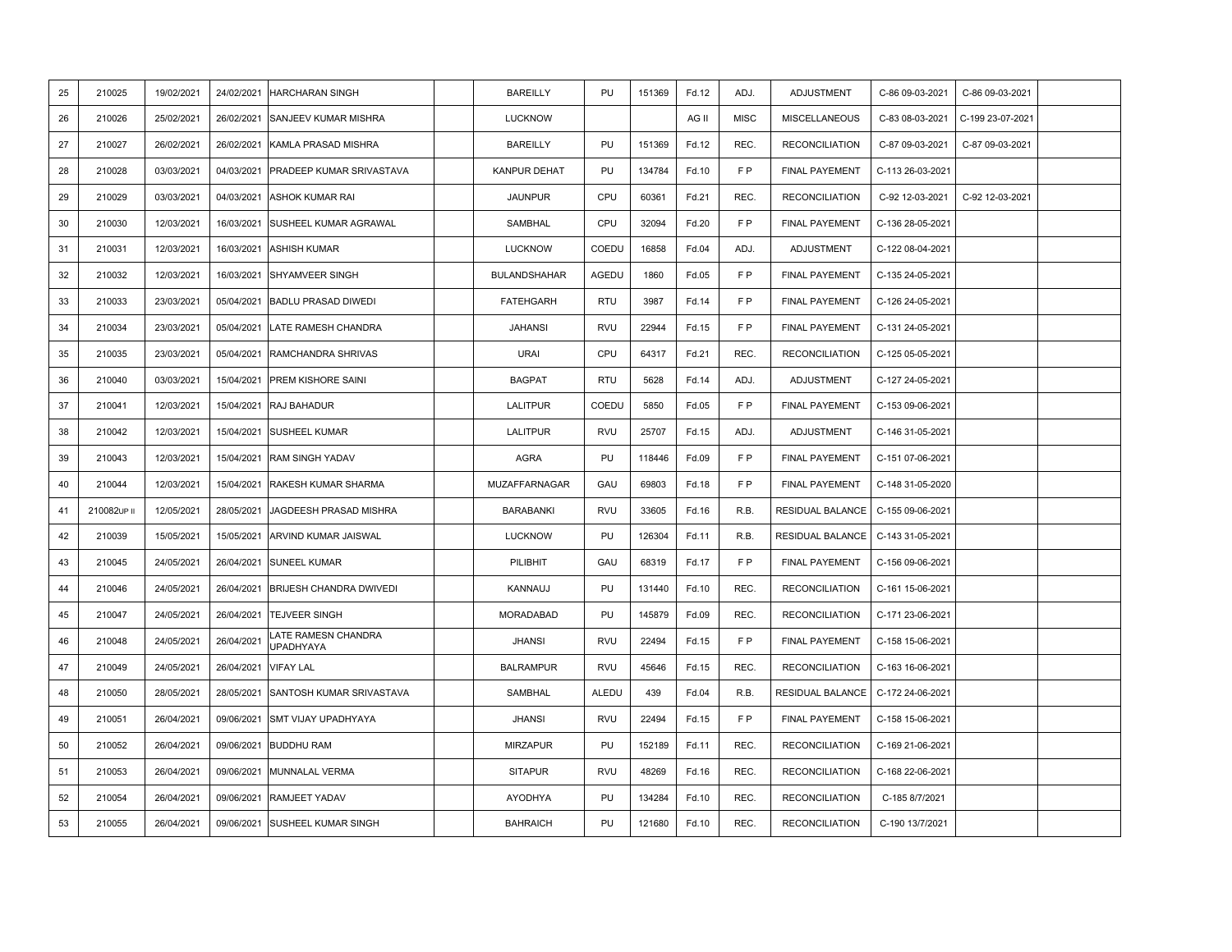| 25 | 210025      | 19/02/2021 | 24/02/2021 | <b>HARCHARAN SINGH</b>           | <b>BAREILLY</b>     | PU         | 151369 | Fd.12 | ADJ.           | ADJUSTMENT            | C-86 09-03-2021  | C-86 09-03-2021  |  |
|----|-------------|------------|------------|----------------------------------|---------------------|------------|--------|-------|----------------|-----------------------|------------------|------------------|--|
| 26 | 210026      | 25/02/2021 | 26/02/2021 | SANJEEV KUMAR MISHRA             | <b>LUCKNOW</b>      |            |        | AG II | <b>MISC</b>    | <b>MISCELLANEOUS</b>  | C-83 08-03-2021  | C-199 23-07-2021 |  |
| 27 | 210027      | 26/02/2021 | 26/02/2021 | KAMLA PRASAD MISHRA              | <b>BAREILLY</b>     | PU         | 151369 | Fd.12 | REC.           | <b>RECONCILIATION</b> | C-87 09-03-2021  | C-87 09-03-2021  |  |
| 28 | 210028      | 03/03/2021 | 04/03/2021 | PRADEEP KUMAR SRIVASTAVA         | KANPUR DEHAT        | PU         | 134784 | Fd.10 | FP.            | FINAL PAYEMENT        | C-113 26-03-2021 |                  |  |
| 29 | 210029      | 03/03/2021 | 04/03/2021 | <b>ASHOK KUMAR RAI</b>           | <b>JAUNPUR</b>      | CPU        | 60361  | Fd.21 | REC.           | <b>RECONCILIATION</b> | C-92 12-03-2021  | C-92 12-03-2021  |  |
| 30 | 210030      | 12/03/2021 | 16/03/2021 | SUSHEEL KUMAR AGRAWAL            | <b>SAMBHAL</b>      | CPU        | 32094  | Fd.20 | FP.            | FINAL PAYEMENT        | C-136 28-05-2021 |                  |  |
| 31 | 210031      | 12/03/2021 | 16/03/2021 | <b>ASHISH KUMAR</b>              | LUCKNOW             | COEDU      | 16858  | Fd.04 | ADJ.           | ADJUSTMENT            | C-122 08-04-2021 |                  |  |
| 32 | 210032      | 12/03/2021 | 16/03/2021 | SHYAMVEER SINGH                  | <b>BULANDSHAHAR</b> | AGEDU      | 1860   | Fd.05 | FP.            | FINAL PAYEMENT        | C-135 24-05-2021 |                  |  |
| 33 | 210033      | 23/03/2021 | 05/04/2021 | <b>BADLU PRASAD DIWEDI</b>       | <b>FATEHGARH</b>    | <b>RTU</b> | 3987   | Fd.14 | FP.            | FINAL PAYEMENT        | C-126 24-05-2021 |                  |  |
| 34 | 210034      | 23/03/2021 | 05/04/2021 | LATE RAMESH CHANDRA              | <b>JAHANSI</b>      | <b>RVU</b> | 22944  | Fd.15 | FP.            | FINAL PAYEMENT        | C-131 24-05-2021 |                  |  |
| 35 | 210035      | 23/03/2021 | 05/04/2021 | <b>RAMCHANDRA SHRIVAS</b>        | <b>URAI</b>         | CPU        | 64317  | Fd.21 | REC.           | <b>RECONCILIATION</b> | C-125 05-05-2021 |                  |  |
| 36 | 210040      | 03/03/2021 | 15/04/2021 | <b>PREM KISHORE SAINI</b>        | <b>BAGPAT</b>       | <b>RTU</b> | 5628   | Fd.14 | ADJ.           | ADJUSTMENT            | C-127 24-05-2021 |                  |  |
| 37 | 210041      | 12/03/2021 | 15/04/2021 | RAJ BAHADUR                      | <b>LALITPUR</b>     | COEDU      | 5850   | Fd.05 | FP.            | FINAL PAYEMENT        | C-153 09-06-2021 |                  |  |
| 38 | 210042      | 12/03/2021 | 15/04/2021 | SUSHEEL KUMAR                    | <b>LALITPUR</b>     | <b>RVU</b> | 25707  | Fd.15 | ADJ.           | ADJUSTMENT            | C-146 31-05-2021 |                  |  |
| 39 | 210043      | 12/03/2021 | 15/04/2021 | <b>RAM SINGH YADAV</b>           | <b>AGRA</b>         | PU         | 118446 | Fd.09 | F P            | FINAL PAYEMENT        | C-151 07-06-2021 |                  |  |
| 40 | 210044      | 12/03/2021 | 15/04/2021 | RAKESH KUMAR SHARMA              | MUZAFFARNAGAR       | GAU        | 69803  | Fd.18 | F <sub>P</sub> | FINAL PAYEMENT        | C-148 31-05-2020 |                  |  |
| 41 | 210082UP II | 12/05/2021 | 28/05/2021 | JAGDEESH PRASAD MISHRA           | <b>BARABANKI</b>    | <b>RVU</b> | 33605  | Fd.16 | R.B.           | RESIDUAL BALANCE      | C-155 09-06-2021 |                  |  |
| 42 | 210039      | 15/05/2021 | 15/05/2021 | ARVIND KUMAR JAISWAL             | <b>LUCKNOW</b>      | PU         | 126304 | Fd.11 | R.B.           | RESIDUAL BALANCE      | C-143 31-05-2021 |                  |  |
| 43 | 210045      | 24/05/2021 | 26/04/2021 | <b>SUNEEL KUMAR</b>              | PILIBHIT            | GAU        | 68319  | Fd.17 | FP.            | FINAL PAYEMENT        | C-156 09-06-2021 |                  |  |
| 44 | 210046      | 24/05/2021 | 26/04/2021 | BRIJESH CHANDRA DWIVEDI          | KANNAUJ             | PU         | 131440 | Fd.10 | REC.           | <b>RECONCILIATION</b> | C-161 15-06-2021 |                  |  |
| 45 | 210047      | 24/05/2021 | 26/04/2021 | <b>TEJVEER SINGH</b>             | MORADABAD           | PU         | 145879 | Fd.09 | REC.           | <b>RECONCILIATION</b> | C-171 23-06-2021 |                  |  |
| 46 | 210048      | 24/05/2021 | 26/04/2021 | LATE RAMESN CHANDRA<br>UPADHYAYA | <b>JHANSI</b>       | <b>RVU</b> | 22494  | Fd.15 | FP.            | FINAL PAYEMENT        | C-158 15-06-2021 |                  |  |
| 47 | 210049      | 24/05/2021 | 26/04/2021 | <b>VIFAY LAL</b>                 | <b>BALRAMPUR</b>    | <b>RVU</b> | 45646  | Fd.15 | REC.           | <b>RECONCILIATION</b> | C-163 16-06-2021 |                  |  |
| 48 | 210050      | 28/05/2021 | 28/05/2021 | SANTOSH KUMAR SRIVASTAVA         | <b>SAMBHAL</b>      | ALEDU      | 439    | Fd.04 | R.B.           | RESIDUAL BALANCE      | C-172 24-06-2021 |                  |  |
| 49 | 210051      | 26/04/2021 | 09/06/2021 | <b>SMT VIJAY UPADHYAYA</b>       | <b>JHANSI</b>       | RVU        | 22494  | Fd.15 | FP             | FINAL PAYEMENT        | C-158 15-06-2021 |                  |  |
| 50 | 210052      | 26/04/2021 | 09/06/2021 | <b>BUDDHU RAM</b>                | <b>MIRZAPUR</b>     | PU         | 152189 | Fd.11 | REC.           | <b>RECONCILIATION</b> | C-169 21-06-2021 |                  |  |
| 51 | 210053      | 26/04/2021 | 09/06/2021 | MUNNALAL VERMA                   | <b>SITAPUR</b>      | <b>RVU</b> | 48269  | Fd.16 | REC.           | <b>RECONCILIATION</b> | C-168 22-06-2021 |                  |  |
| 52 | 210054      | 26/04/2021 | 09/06/2021 | RAMJEET YADAV                    | AYODHYA             | PU         | 134284 | Fd.10 | REC.           | <b>RECONCILIATION</b> | C-185 8/7/2021   |                  |  |
| 53 | 210055      | 26/04/2021 | 09/06/2021 | SUSHEEL KUMAR SINGH              | <b>BAHRAICH</b>     | PU         | 121680 | Fd.10 | REC.           | <b>RECONCILIATION</b> | C-190 13/7/2021  |                  |  |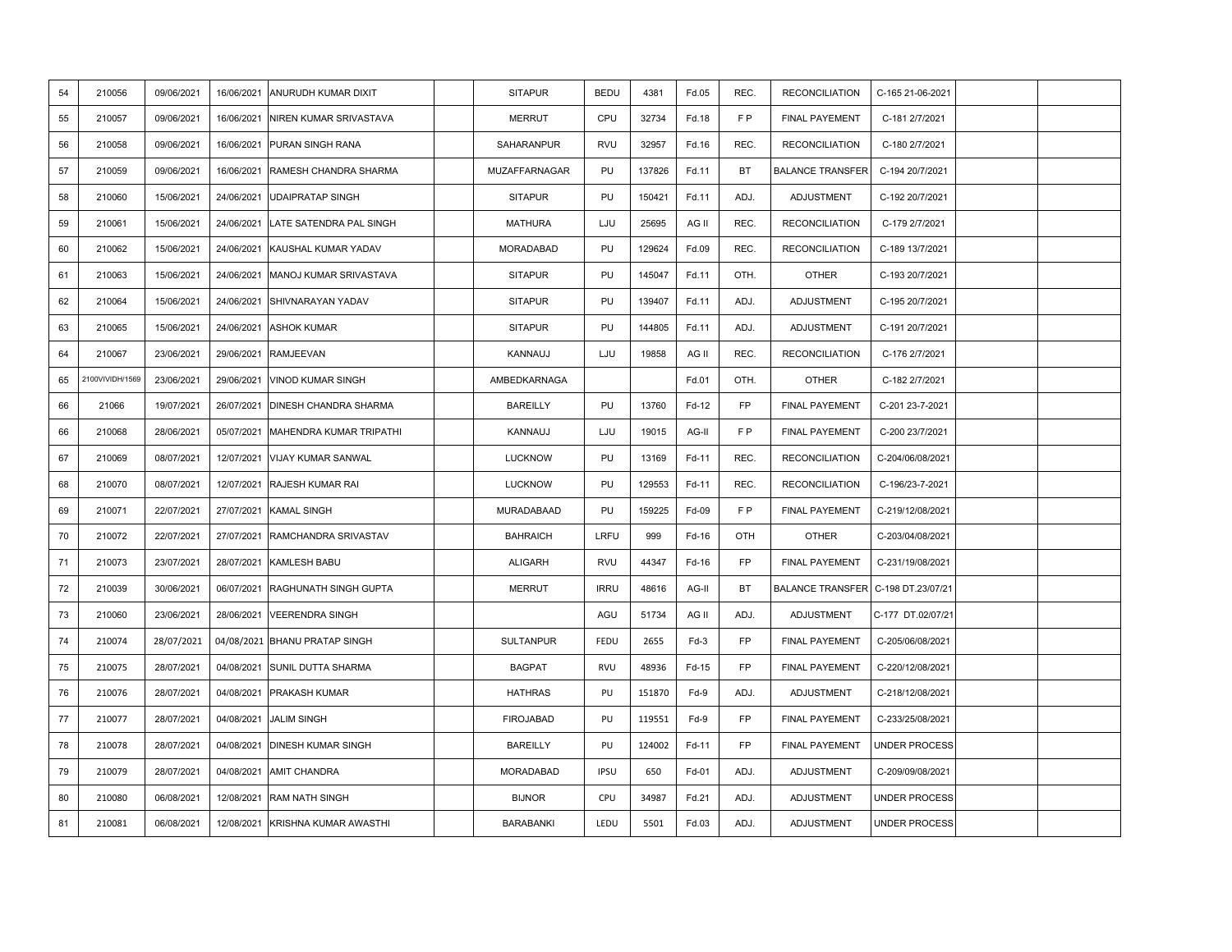| 54 | 210056          | 09/06/2021 | 16/06/2021 | ANURUDH KUMAR DIXIT           | <b>SITAPUR</b>   | <b>BEDU</b> | 4381   | Fd.05  | REC.      | <b>RECONCILIATION</b>              | C-165 21-06-2021     |  |
|----|-----------------|------------|------------|-------------------------------|------------------|-------------|--------|--------|-----------|------------------------------------|----------------------|--|
| 55 | 210057          | 09/06/2021 | 16/06/2021 | NIREN KUMAR SRIVASTAVA        | <b>MERRUT</b>    | CPU         | 32734  | Fd.18  | FP.       | FINAL PAYEMENT                     | C-181 2/7/2021       |  |
| 56 | 210058          | 09/06/2021 | 16/06/2021 | PURAN SINGH RANA              | SAHARANPUR       | <b>RVU</b>  | 32957  | Fd.16  | REC.      | <b>RECONCILIATION</b>              | C-180 2/7/2021       |  |
| 57 | 210059          | 09/06/2021 | 16/06/2021 | RAMESH CHANDRA SHARMA         | MUZAFFARNAGAR    | PU          | 137826 | Fd.11  | <b>BT</b> | <b>BALANCE TRANSFER</b>            | C-194 20/7/2021      |  |
| 58 | 210060          | 15/06/2021 | 24/06/2021 | <b>UDAIPRATAP SINGH</b>       | <b>SITAPUR</b>   | PU          | 150421 | Fd.11  | ADJ.      | ADJUSTMENT                         | C-192 20/7/2021      |  |
| 59 | 210061          | 15/06/2021 | 24/06/2021 | LATE SATENDRA PAL SINGH       | <b>MATHURA</b>   | LJU         | 25695  | AG II  | REC.      | <b>RECONCILIATION</b>              | C-179 2/7/2021       |  |
| 60 | 210062          | 15/06/2021 | 24/06/2021 | KAUSHAL KUMAR YADAV           | MORADABAD        | PU          | 129624 | Fd.09  | REC.      | <b>RECONCILIATION</b>              | C-189 13/7/2021      |  |
| 61 | 210063          | 15/06/2021 | 24/06/2021 | MANOJ KUMAR SRIVASTAVA        | <b>SITAPUR</b>   | PU          | 145047 | Fd.11  | OTH.      | <b>OTHER</b>                       | C-193 20/7/2021      |  |
| 62 | 210064          | 15/06/2021 | 24/06/2021 | SHIVNARAYAN YADAV             | <b>SITAPUR</b>   | PU          | 139407 | Fd.11  | ADJ.      | ADJUSTMENT                         | C-195 20/7/2021      |  |
| 63 | 210065          | 15/06/2021 | 24/06/2021 | <b>ASHOK KUMAR</b>            | <b>SITAPUR</b>   | PU          | 144805 | Fd.11  | ADJ.      | ADJUSTMENT                         | C-191 20/7/2021      |  |
| 64 | 210067          | 23/06/2021 | 29/06/2021 | <b>RAMJEEVAN</b>              | KANNAUJ          | LJU         | 19858  | AG II  | REC.      | <b>RECONCILIATION</b>              | C-176 2/7/2021       |  |
| 65 | 2100VIVIDH/1569 | 23/06/2021 | 29/06/2021 | <b>VINOD KUMAR SINGH</b>      | AMBEDKARNAGA     |             |        | Fd.01  | OTH.      | <b>OTHER</b>                       | C-182 2/7/2021       |  |
| 66 | 21066           | 19/07/2021 | 26/07/2021 | <b>DINESH CHANDRA SHARMA</b>  | <b>BAREILLY</b>  | PU          | 13760  | Fd-12  | FP        | FINAL PAYEMENT                     | C-201 23-7-2021      |  |
| 66 | 210068          | 28/06/2021 | 05/07/2021 | MAHENDRA KUMAR TRIPATHI       | KANNAUJ          | LJU         | 19015  | AG-II  | F P       | FINAL PAYEMENT                     | C-200 23/7/2021      |  |
| 67 | 210069          | 08/07/2021 | 12/07/2021 | <b>VIJAY KUMAR SANWAL</b>     | <b>LUCKNOW</b>   | PU          | 13169  | Fd-11  | REC.      | <b>RECONCILIATION</b>              | C-204/06/08/2021     |  |
| 68 | 210070          | 08/07/2021 | 12/07/2021 | <b>RAJESH KUMAR RAI</b>       | LUCKNOW          | PU          | 129553 | Fd-11  | REC.      | <b>RECONCILIATION</b>              | C-196/23-7-2021      |  |
| 69 | 210071          | 22/07/2021 | 27/07/2021 | <b>KAMAL SINGH</b>            | MURADABAAD       | PU          | 159225 | Fd-09  | FP        | FINAL PAYEMENT                     | C-219/12/08/2021     |  |
| 70 | 210072          | 22/07/2021 | 27/07/2021 | RAMCHANDRA SRIVASTAV          | <b>BAHRAICH</b>  | LRFU        | 999    | Fd-16  | OTH       | <b>OTHER</b>                       | C-203/04/08/2021     |  |
| 71 | 210073          | 23/07/2021 | 28/07/2021 | KAMLESH BABU                  | <b>ALIGARH</b>   | <b>RVU</b>  | 44347  | Fd-16  | FP        | <b>FINAL PAYEMENT</b>              | C-231/19/08/2021     |  |
| 72 | 210039          | 30/06/2021 | 06/07/2021 | RAGHUNATH SINGH GUPTA         | <b>MERRUT</b>    | <b>IRRU</b> | 48616  | AG-II  | BT        | BALANCE TRANSFER C-198 DT.23/07/21 |                      |  |
| 73 | 210060          | 23/06/2021 | 28/06/2021 | <b>VEERENDRA SINGH</b>        |                  | AGU         | 51734  | AG II  | ADJ.      | <b>ADJUSTMENT</b>                  | C-177 DT.02/07/21    |  |
| 74 | 210074          | 28/07/2021 |            | 04/08/2021 BHANU PRATAP SINGH | <b>SULTANPUR</b> | <b>FEDU</b> | 2655   | $Fd-3$ | FP        | FINAL PAYEMENT                     | C-205/06/08/2021     |  |
| 75 | 210075          | 28/07/2021 | 04/08/2021 | SUNIL DUTTA SHARMA            | <b>BAGPAT</b>    | <b>RVU</b>  | 48936  | Fd-15  | <b>FP</b> | FINAL PAYEMENT                     | C-220/12/08/2021     |  |
| 76 | 210076          | 28/07/2021 | 04/08/2021 | PRAKASH KUMAR                 | <b>HATHRAS</b>   | PU          | 151870 | Fd-9   | ADJ.      | ADJUSTMENT                         | C-218/12/08/2021     |  |
| 77 | 210077          | 28/07/2021 | 04/08/2021 | <b>JALIM SINGH</b>            | <b>FIROJABAD</b> | PU          | 119551 | Fd-9   | FP        | FINAL PAYEMENT                     | C-233/25/08/2021     |  |
| 78 | 210078          | 28/07/2021 | 04/08/2021 | <b>DINESH KUMAR SINGH</b>     | <b>BAREILLY</b>  | PU          | 124002 | Fd-11  | FP        | FINAL PAYEMENT                     | <b>UNDER PROCESS</b> |  |
| 79 | 210079          | 28/07/2021 | 04/08/2021 | <b>AMIT CHANDRA</b>           | MORADABAD        | <b>IPSU</b> | 650    | Fd-01  | ADJ.      | ADJUSTMENT                         | C-209/09/08/2021     |  |
| 80 | 210080          | 06/08/2021 | 12/08/2021 | <b>RAM NATH SINGH</b>         | <b>BIJNOR</b>    | CPU         | 34987  | Fd.21  | ADJ.      | <b>ADJUSTMENT</b>                  | <b>UNDER PROCESS</b> |  |
| 81 | 210081          | 06/08/2021 | 12/08/2021 | KRISHNA KUMAR AWASTHI         | <b>BARABANKI</b> | LEDU        | 5501   | Fd.03  | ADJ.      | <b>ADJUSTMENT</b>                  | <b>UNDER PROCESS</b> |  |